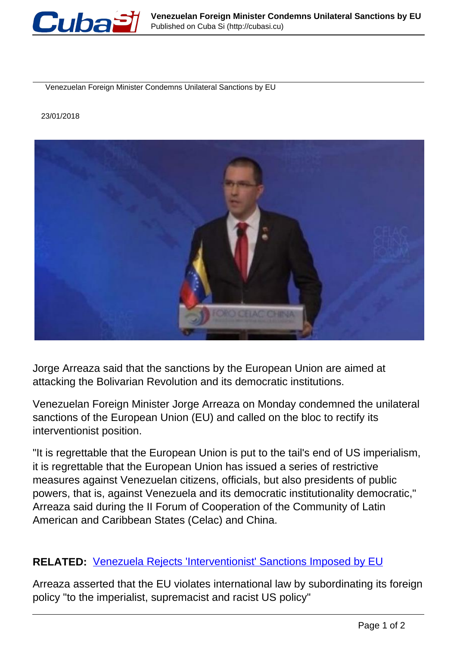

Venezuelan Foreign Minister Condemns Unilateral Sanctions by EU

23/01/2018



Jorge Arreaza said that the sanctions by the European Union are aimed at attacking the Bolivarian Revolution and its democratic institutions.

Venezuelan Foreign Minister Jorge Arreaza on Monday condemned the unilateral sanctions of the European Union (EU) and called on the bloc to rectify its interventionist position.

"It is regrettable that the European Union is put to the tail's end of US imperialism, it is regrettable that the European Union has issued a series of restrictive measures against Venezuelan citizens, officials, but also presidents of public powers, that is, against Venezuela and its democratic institutionality democratic," Arreaza said during the II Forum of Cooperation of the Community of Latin American and Caribbean States (Celac) and China.

## **RELATED:** [Venezuela Rejects 'Interventionist' Sanctions Imposed by EU](http://www.telesurtv.net/english/news/Venezuela-Rejects-Interventionist-Sanctions-Imposed-by-EU-20180122-0014.html)

Arreaza asserted that the EU violates international law by subordinating its foreign policy "to the imperialist, supremacist and racist US policy"